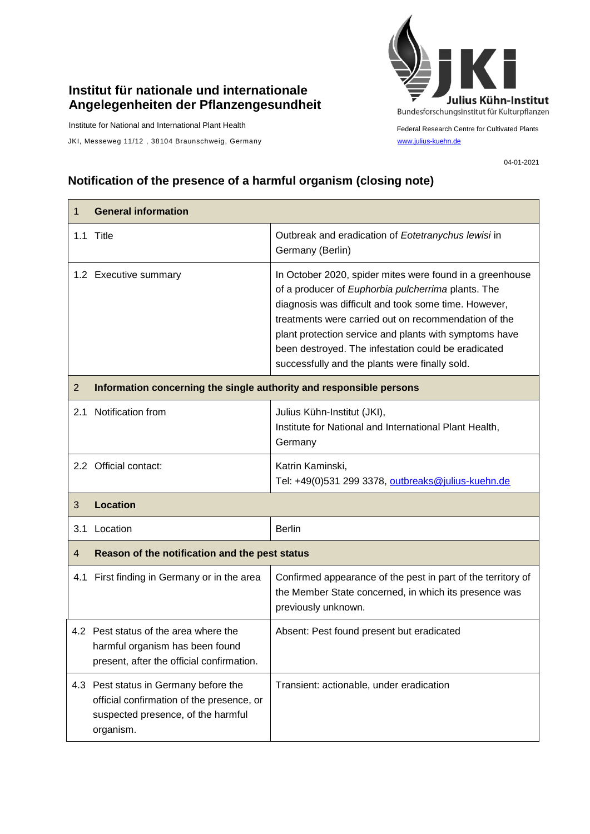## **Institut für nationale und internationale Angelegenheiten der Pflanzengesundheit**

Institute for National and International Plant Health

JKI, Messeweg 11/12, 38104 Braunschweig, Germany [www.julius-kuehn.de](http://www.julius-kuehn.de/)



Federal Research Centre for Cultivated Plants

04-01-2021

## **Notification of the presence of a harmful organism (closing note)**

| 1              | <b>General information</b>                                                                                                            |                                                                                                                                                                                                                                                                                                                                                                                                   |  |
|----------------|---------------------------------------------------------------------------------------------------------------------------------------|---------------------------------------------------------------------------------------------------------------------------------------------------------------------------------------------------------------------------------------------------------------------------------------------------------------------------------------------------------------------------------------------------|--|
|                | 1.1 Title                                                                                                                             | Outbreak and eradication of Eotetranychus lewisi in<br>Germany (Berlin)                                                                                                                                                                                                                                                                                                                           |  |
|                | 1.2 Executive summary                                                                                                                 | In October 2020, spider mites were found in a greenhouse<br>of a producer of Euphorbia pulcherrima plants. The<br>diagnosis was difficult and took some time. However,<br>treatments were carried out on recommendation of the<br>plant protection service and plants with symptoms have<br>been destroyed. The infestation could be eradicated<br>successfully and the plants were finally sold. |  |
| $\overline{2}$ | Information concerning the single authority and responsible persons                                                                   |                                                                                                                                                                                                                                                                                                                                                                                                   |  |
| 2.1            | Notification from                                                                                                                     | Julius Kühn-Institut (JKI),<br>Institute for National and International Plant Health,<br>Germany                                                                                                                                                                                                                                                                                                  |  |
|                | 2.2 Official contact:                                                                                                                 | Katrin Kaminski,<br>Tel: +49(0)531 299 3378, outbreaks@julius-kuehn.de                                                                                                                                                                                                                                                                                                                            |  |
| 3              | <b>Location</b>                                                                                                                       |                                                                                                                                                                                                                                                                                                                                                                                                   |  |
| 3.1            | Location                                                                                                                              | <b>Berlin</b>                                                                                                                                                                                                                                                                                                                                                                                     |  |
| 4              | Reason of the notification and the pest status                                                                                        |                                                                                                                                                                                                                                                                                                                                                                                                   |  |
| 4.1            | First finding in Germany or in the area                                                                                               | Confirmed appearance of the pest in part of the territory of<br>the Member State concerned, in which its presence was<br>previously unknown.                                                                                                                                                                                                                                                      |  |
|                | 4.2 Pest status of the area where the<br>harmful organism has been found<br>present, after the official confirmation.                 | Absent: Pest found present but eradicated                                                                                                                                                                                                                                                                                                                                                         |  |
|                | 4.3 Pest status in Germany before the<br>official confirmation of the presence, or<br>suspected presence, of the harmful<br>organism. | Transient: actionable, under eradication                                                                                                                                                                                                                                                                                                                                                          |  |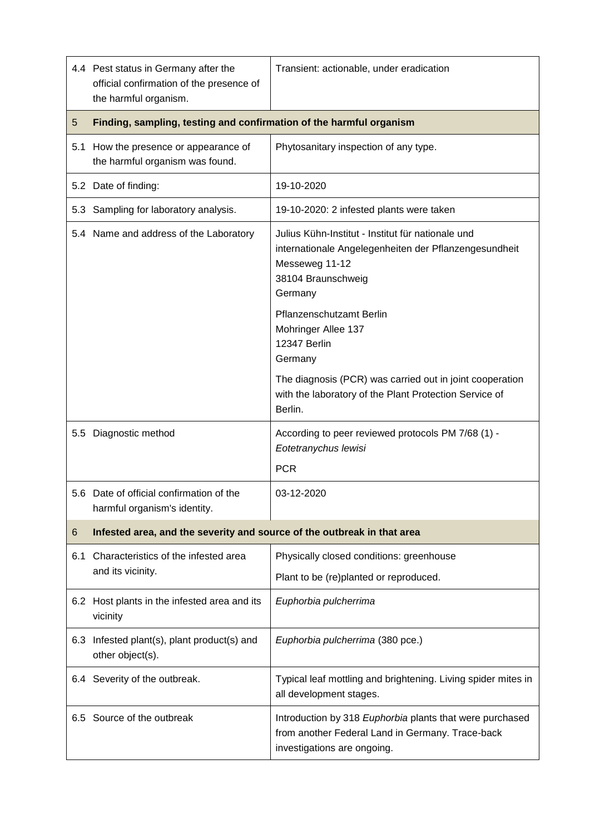|                 | 4.4 Pest status in Germany after the<br>official confirmation of the presence of<br>the harmful organism. | Transient: actionable, under eradication                                                                                                                                                  |  |
|-----------------|-----------------------------------------------------------------------------------------------------------|-------------------------------------------------------------------------------------------------------------------------------------------------------------------------------------------|--|
| $5\overline{)}$ | Finding, sampling, testing and confirmation of the harmful organism                                       |                                                                                                                                                                                           |  |
|                 | 5.1 How the presence or appearance of<br>the harmful organism was found.                                  | Phytosanitary inspection of any type.                                                                                                                                                     |  |
|                 | 5.2 Date of finding:                                                                                      | 19-10-2020                                                                                                                                                                                |  |
|                 | 5.3 Sampling for laboratory analysis.                                                                     | 19-10-2020: 2 infested plants were taken                                                                                                                                                  |  |
|                 | 5.4 Name and address of the Laboratory                                                                    | Julius Kühn-Institut - Institut für nationale und<br>internationale Angelegenheiten der Pflanzengesundheit<br>Messeweg 11-12<br>38104 Braunschweig<br>Germany<br>Pflanzenschutzamt Berlin |  |
|                 |                                                                                                           | Mohringer Allee 137<br>12347 Berlin<br>Germany                                                                                                                                            |  |
|                 |                                                                                                           | The diagnosis (PCR) was carried out in joint cooperation<br>with the laboratory of the Plant Protection Service of<br>Berlin.                                                             |  |
|                 | 5.5 Diagnostic method                                                                                     | According to peer reviewed protocols PM 7/68 (1) -<br>Eotetranychus lewisi<br><b>PCR</b>                                                                                                  |  |
|                 | 5.6 Date of official confirmation of the<br>harmful organism's identity.                                  | 03-12-2020                                                                                                                                                                                |  |
| 6               | Infested area, and the severity and source of the outbreak in that area                                   |                                                                                                                                                                                           |  |
| 6.1             | Characteristics of the infested area<br>and its vicinity.                                                 | Physically closed conditions: greenhouse<br>Plant to be (re)planted or reproduced.                                                                                                        |  |
|                 | 6.2 Host plants in the infested area and its<br>vicinity                                                  | Euphorbia pulcherrima                                                                                                                                                                     |  |
| 6.3             | Infested plant(s), plant product(s) and<br>other object(s).                                               | Euphorbia pulcherrima (380 pce.)                                                                                                                                                          |  |
|                 | 6.4 Severity of the outbreak.                                                                             | Typical leaf mottling and brightening. Living spider mites in<br>all development stages.                                                                                                  |  |
|                 | 6.5 Source of the outbreak                                                                                | Introduction by 318 Euphorbia plants that were purchased<br>from another Federal Land in Germany. Trace-back<br>investigations are ongoing.                                               |  |